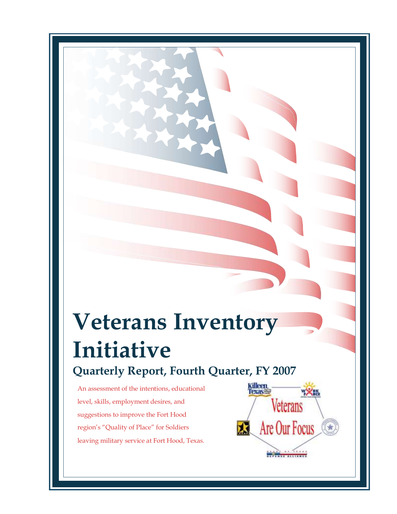# **Veterans Inventory Initiative Quarterly Report, Fourth Quarter, FY 2007**

An assessment of the intentions, educational level, skills, employment desires, and suggestions to improve the Fort Hood region's "Quality of Place" for Soldiers leaving military service at Fort Hood, Texas.

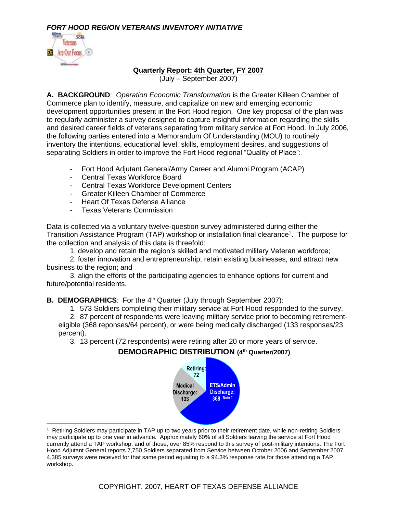

#### **Quarterly Report: 4th Quarter, FY 2007**

(July – September 2007)

**A. BACKGROUND**: *Operation Economic Transformation* is the Greater Killeen Chamber of Commerce plan to identify, measure, and capitalize on new and emerging economic development opportunities present in the Fort Hood region. One key proposal of the plan was to regularly administer a survey designed to capture insightful information regarding the skills and desired career fields of veterans separating from military service at Fort Hood. In July 2006, the following parties entered into a Memorandum Of Understanding (MOU) to routinely inventory the intentions, educational level, skills, employment desires, and suggestions of separating Soldiers in order to improve the Fort Hood regional "Quality of Place":

- Fort Hood Adjutant General/Army Career and Alumni Program (ACAP)
- Central Texas Workforce Board
- Central Texas Workforce Development Centers
- Greater Killeen Chamber of Commerce
- Heart Of Texas Defense Alliance
- Texas Veterans Commission

Data is collected via a voluntary twelve-question survey administered during either the Transition Assistance Program (TAP) workshop or installation final clearance<sup>1</sup>. The purpose for the collection and analysis of this data is threefold:

1. develop and retain the region's skilled and motivated military Veteran workforce;

2. foster innovation and entrepreneurship; retain existing businesses, and attract new business to the region; and

3. align the efforts of the participating agencies to enhance options for current and future/potential residents.

**B. DEMOGRAPHICS:** For the 4<sup>th</sup> Quarter (July through September 2007):

1. 573 Soldiers completing their military service at Fort Hood responded to the survey.

2. 87 percent of respondents were leaving military service prior to becoming retirementeligible (368 reponses/64 percent), or were being medically discharged (133 responses/23 percent).

3. 13 percent (72 respondents) were retiring after 20 or more years of service.

# **DEMOGRAPHIC DISTRIBUTION (4th Quarter/2007)**



1 Retiring Soldiers may participate in TAP up to two years prior to their retirement date, while non-retiring Soldiers may participate up to one year in advance. Approximately 60% of all Soldiers leaving the service at Fort Hood currently attend a TAP workshop, and of those, over 85% respond to this survey of post-military intentions. The Fort Hood Adjutant General reports 7,750 Soldiers separated from Service between October 2006 and September 2007. 4,385 surveys were received for that same period equating to a 94.3% response rate for those attending a TAP workshop.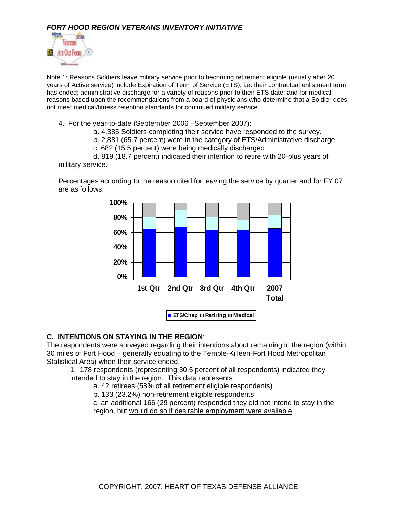

Note 1: Reasons Soldiers leave military service prior to becoming retirement eligible (usually after 20 years of Active service) include Expiration of Term of Service (ETS), i.e. their contractual enlistment term has ended; administrative discharge for a variety of reasons prior to their ETS date; and for medical reasons based upon the recommendations from a board of physicians who determine that a Soldier does not meet medical/fitness retention standards for continued military service.

- 4. For the year-to-date (September 2006 –September 2007):
	- a. 4,385 Soldiers completing their service have responded to the survey.
	- b. 2,881 (65.7 percent) were in the category of ETS/Administrative discharge
	- c. 682 (15.5 percent) were being medically discharged

d. 819 (18.7 percent) indicated their intention to retire with 20-plus years of military service.

Percentages according to the reason cited for leaving the service by quarter and for FY 07 are as follows:



#### **C. INTENTIONS ON STAYING IN THE REGION**:

The respondents were surveyed regarding their intentions about remaining in the region (within 30 miles of Fort Hood – generally equating to the Temple-Killeen-Fort Hood Metropolitan Statistical Area) when their service ended.

1. 178 respondents (representing 30.5 percent of all respondents) indicated they intended to stay in the region. This data represents:

a. 42 retirees (58% of all retirement eligible respondents)

b. 133 (23.2%) non-retirement eligible respondents

c. an additional 166 (29 percent) responded they did not intend to stay in the region, but would do so if desirable employment were available.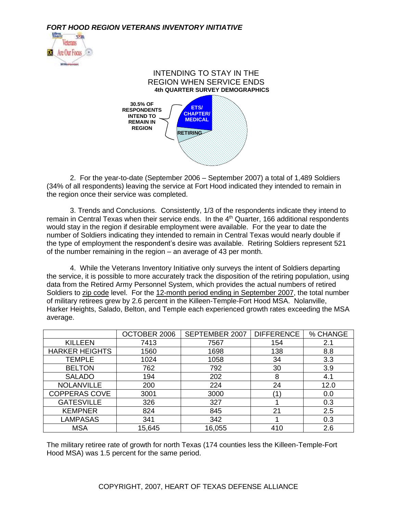



2. For the year-to-date (September 2006 – September 2007) a total of 1,489 Soldiers (34% of all respondents) leaving the service at Fort Hood indicated they intended to remain in the region once their service was completed.

3. Trends and Conclusions. Consistently, 1/3 of the respondents indicate they intend to remain in Central Texas when their service ends. In the 4<sup>th</sup> Quarter, 166 additional respondents would stay in the region if desirable employment were available. For the year to date the number of Soldiers indicating they intended to remain in Central Texas would nearly double if the type of employment the respondent's desire was available. Retiring Soldiers represent 521 of the number remaining in the region – an average of 43 per month.

4. While the Veterans Inventory Initiative only surveys the intent of Soldiers departing the service, it is possible to more accurately track the disposition of the retiring population, using data from the Retired Army Personnel System, which provides the actual numbers of retired Soldiers to zip code level. For the 12-month period ending in September 2007, the total number of military retirees grew by 2.6 percent in the Killeen-Temple-Fort Hood MSA. Nolanville, Harker Heights, Salado, Belton, and Temple each experienced growth rates exceeding the MSA average.

|                       | OCTOBER 2006 | SEPTEMBER 2007 | <b>DIFFERENCE</b> | % CHANGE |
|-----------------------|--------------|----------------|-------------------|----------|
| <b>KILLEEN</b>        | 7413         | 7567           | 154               | 2.1      |
| <b>HARKER HEIGHTS</b> | 1560         | 1698           | 138               | 8.8      |
| <b>TEMPLE</b>         | 1024         | 1058           | 34                | 3.3      |
| <b>BELTON</b>         | 762          | 792            | 30                | 3.9      |
| <b>SALADO</b>         | 194          | 202            | 8                 | 4.1      |
| <b>NOLANVILLE</b>     | 200          | 224            | 24                | 12.0     |
| <b>COPPERAS COVE</b>  | 3001         | 3000           | 1                 | 0.0      |
| <b>GATESVILLE</b>     | 326          | 327            |                   | 0.3      |
| <b>KEMPNER</b>        | 824          | 845            | 21                | 2.5      |
| <b>LAMPASAS</b>       | 341          | 342            |                   | 0.3      |
| <b>MSA</b>            | 15,645       | 16,055         | 410               | 2.6      |

The military retiree rate of growth for north Texas (174 counties less the Killeen-Temple-Fort Hood MSA) was 1.5 percent for the same period.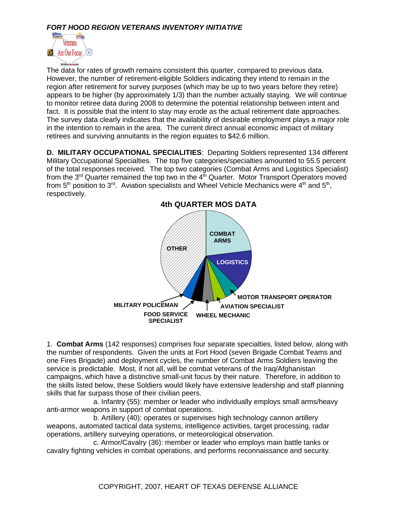

The data for rates of growth remains consistent this quarter, compared to previous data. However, the number of retirement-eligible Soldiers indicating they intend to remain in the region after retirement for survey purposes (which may be up to two years before they retire) appears to be higher (by approximately 1/3) than the number actually staying. We will continue to monitor retiree data during 2008 to determine the potential relationship between intent and fact. It is possible that the intent to stay may erode as the actual retirement date approaches. The survey data clearly indicates that the availability of desirable employment plays a major role in the intention to remain in the area. The current direct annual economic impact of military retirees and surviving annuitants in the region equates to \$42.6 million.

**D. MILITARY OCCUPATIONAL SPECIALITIES**: Departing Soldiers represented 134 different Military Occupational Specialties. The top five categories/specialties amounted to 55.5 percent of the total responses received. The top two categories (Combat Arms and Logistics Specialist) from the  $3<sup>rd</sup>$  Quarter remained the top two in the  $4<sup>th</sup>$  Quarter. Motor Transport Operators moved from 5<sup>th</sup> position to 3<sup>rd</sup>. Aviation specialists and Wheel Vehicle Mechanics were 4<sup>th</sup> and 5<sup>th</sup>, respectively.



1. **Combat Arms** (142 responses) comprises four separate specialties, listed below, along with the number of respondents. Given the units at Fort Hood (seven Brigade Combat Teams and one Fires Brigade) and deployment cycles, the number of Combat Arms Soldiers leaving the service is predictable. Most, if not all, will be combat veterans of the Iraq/Afghanistan campaigns, which have a distinctive small-unit focus by their nature. Therefore, in addition to the skills listed below, these Soldiers would likely have extensive leadership and staff planning skills that far surpass those of their civilian peers.

a. Infantry (55): member or leader who individually employs small arms/heavy anti-armor weapons in support of combat operations.

b. Artillery (40): operates or supervises high technology cannon artillery weapons, automated tactical data systems, intelligence activities, target processing, radar operations, artillery surveying operations, or meteorological observation.

c. Armor/Cavalry (36): member or leader who employs main battle tanks or cavalry fighting vehicles in combat operations, and performs reconnaissance and security.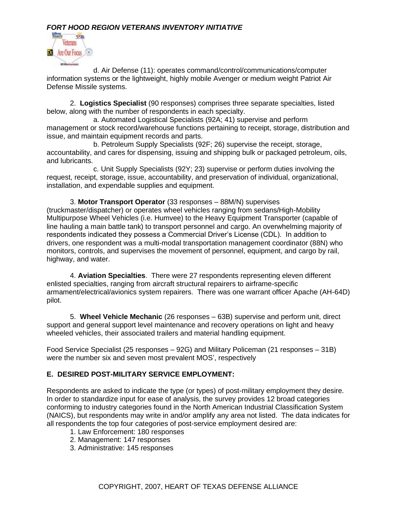

d. Air Defense (11): operates command/control/communications/computer information systems or the lightweight, highly mobile Avenger or medium weight Patriot Air Defense Missile systems.

2. **Logistics Specialist** (90 responses) comprises three separate specialties, listed below, along with the number of respondents in each specialty.

a. Automated Logistical Specialists (92A; 41) supervise and perform management or stock record/warehouse functions pertaining to receipt, storage, distribution and issue, and maintain equipment records and parts.

b. Petroleum Supply Specialists (92F; 26) supervise the receipt, storage, accountability, and cares for dispensing, issuing and shipping bulk or packaged petroleum, oils, and lubricants.

c. Unit Supply Specialists (92Y; 23) supervise or perform duties involving the request, receipt, storage, issue, accountability, and preservation of individual, organizational, installation, and expendable supplies and equipment.

3. **Motor Transport Operator** (33 responses – 88M/N) supervises (truckmaster/dispatcher) or operates wheel vehicles ranging from sedans/High-Mobility Multipurpose Wheel Vehicles (i.e. Humvee) to the Heavy Equipment Transporter (capable of line hauling a main battle tank) to transport personnel and cargo. An overwhelming majority of respondents indicated they possess a Commercial Driver's License (CDL). In addition to drivers, one respondent was a multi-modal transportation management coordinator (88N) who monitors, controls, and supervises the movement of personnel, equipment, and cargo by rail, highway, and water.

4. **Aviation Specialties**. There were 27 respondents representing eleven different enlisted specialties, ranging from aircraft structural repairers to airframe-specific armament/electrical/avionics system repairers. There was one warrant officer Apache (AH-64D) pilot.

5. **Wheel Vehicle Mechanic** (26 responses – 63B) supervise and perform unit, direct support and general support level maintenance and recovery operations on light and heavy wheeled vehicles, their associated trailers and material handling equipment.

Food Service Specialist (25 responses – 92G) and Military Policeman (21 responses – 31B) were the number six and seven most prevalent MOS', respectively

# **E. DESIRED POST-MILITARY SERVICE EMPLOYMENT:**

Respondents are asked to indicate the type (or types) of post-military employment they desire. In order to standardize input for ease of analysis, the survey provides 12 broad categories conforming to industry categories found in the North American Industrial Classification System (NAICS), but respondents may write in and/or amplify any area not listed. The data indicates for all respondents the top four categories of post-service employment desired are:

- 1. Law Enforcement: 180 responses
- 2. Management: 147 responses
- 3. Administrative: 145 responses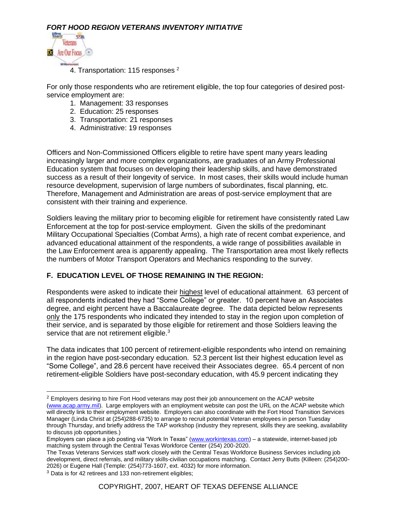

4. Transportation: 115 responses<sup>2</sup>

For only those respondents who are retirement eligible, the top four categories of desired postservice employment are:

- 1. Management: 33 responses
- 2. Education: 25 responses
- 3. Transportation: 21 responses
- 4. Administrative: 19 responses

Officers and Non-Commissioned Officers eligible to retire have spent many years leading increasingly larger and more complex organizations, are graduates of an Army Professional Education system that focuses on developing their leadership skills, and have demonstrated success as a result of their longevity of service. In most cases, their skills would include human resource development, supervision of large numbers of subordinates, fiscal planning, etc. Therefore, Management and Administration are areas of post-service employment that are consistent with their training and experience.

Soldiers leaving the military prior to becoming eligible for retirement have consistently rated Law Enforcement at the top for post-service employment. Given the skills of the predominant Military Occupational Specialties (Combat Arms), a high rate of recent combat experience, and advanced educational attainment of the respondents, a wide range of possibilities available in the Law Enforcement area is apparently appealing. The Transportation area most likely reflects the numbers of Motor Transport Operators and Mechanics responding to the survey.

#### **F. EDUCATION LEVEL OF THOSE REMAINING IN THE REGION:**

Respondents were asked to indicate their highest level of educational attainment. 63 percent of all respondents indicated they had "Some College" or greater. 10 percent have an Associates degree, and eight percent have a Baccalaureate degree. The data depicted below represents only the 175 respondents who indicated they intended to stay in the region upon completion of their service, and is separated by those eligible for retirement and those Soldiers leaving the service that are not retirement eligible.<sup>3</sup>

The data indicates that 100 percent of retirement-eligible respondents who intend on remaining in the region have post-secondary education. 52.3 percent list their highest education level as "Some College", and 28.6 percent have received their Associates degree. 65.4 percent of non retirement-eligible Soldiers have post-secondary education, with 45.9 percent indicating they

<sup>&</sup>lt;sup>2</sup> Employers desiring to hire Fort Hood veterans may post their job announcement on the ACAP website [\(www.acap.army.mil\)](http://www.acap.army.mil/). Large employers with an employment website can post the URL on the ACAP website which will directly link to their employment website. Employers can also coordinate with the Fort Hood Transition Services Manager (Linda Christ at (254)288-6735) to arrange to recruit potential Veteran employees in person Tuesday through Thursday, and briefly address the TAP workshop (industry they represent, skills they are seeking, availability to discuss job opportunities.)

Employers can place a job posting via "Work In Texas" [\(www.workintexas.com\)](http://www.workintexas.com/) – a statewide, internet-based job matching system through the Central Texas Workforce Center (254) 200-2020.

The Texas Veterans Services staff work closely with the Central Texas Workforce Business Services including job development, direct referrals, and military skills-civilian occupations matching. Contact Jerry Butts (Killeen: (254)200- 2026) or Eugene Hall (Temple: (254)773-1607, ext. 4032) for more information.

<sup>&</sup>lt;sup>3</sup> Data is for 42 retirees and 133 non-retirement eligibles;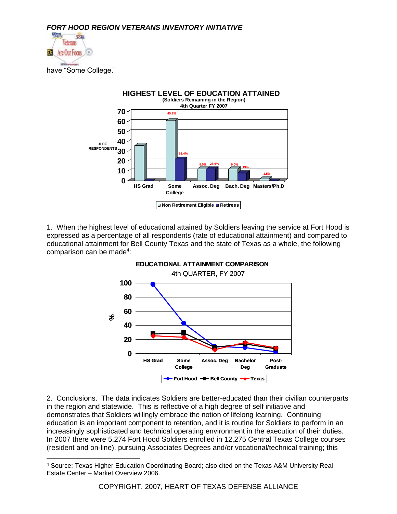





1. When the highest level of educational attained by Soldiers leaving the service at Fort Hood is expressed as a percentage of all respondents (rate of educational attainment) and compared to educational attainment for Bell County Texas and the state of Texas as a whole, the following comparison can be made<sup>4</sup>:



2. Conclusions. The data indicates Soldiers are better-educated than their civilian counterparts in the region and statewide. This is reflective of a high degree of self initiative and demonstrates that Soldiers willingly embrace the notion of lifelong learning. Continuing education is an important component to retention, and it is routine for Soldiers to perform in an increasingly sophisticated and technical operating environment in the execution of their duties. In 2007 there were 5,274 Fort Hood Soldiers enrolled in 12,275 Central Texas College courses (resident and on-line), pursuing Associates Degrees and/or vocational/technical training; this

<sup>4</sup> Source: Texas Higher Education Coordinating Board; also cited on the Texas A&M University Real Estate Center – Market Overview 2006.